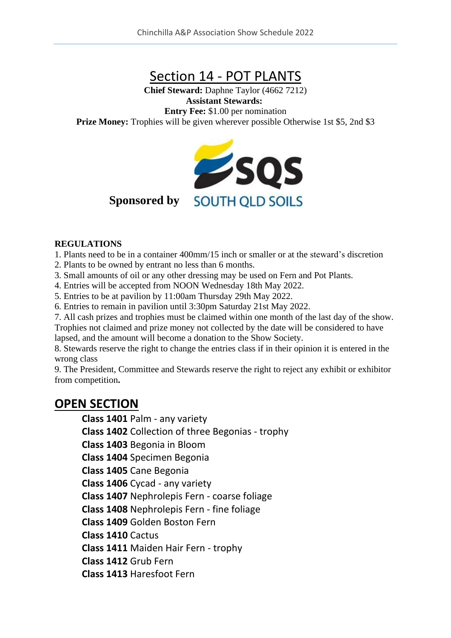# Section 14 - POT PLANTS

**Chief Steward:** Daphne Taylor (4662 7212) **Assistant Stewards: Entry Fee:** \$1.00 per nomination **Prize Money:** Trophies will be given wherever possible Otherwise 1st \$5, 2nd \$3



#### **Sponsored by**

#### **REGULATIONS**

1. Plants need to be in a container 400mm/15 inch or smaller or at the steward's discretion

- 2. Plants to be owned by entrant no less than 6 months.
- 3. Small amounts of oil or any other dressing may be used on Fern and Pot Plants.
- 4. Entries will be accepted from NOON Wednesday 18th May 2022.
- 5. Entries to be at pavilion by 11:00am Thursday 29th May 2022.
- 6. Entries to remain in pavilion until 3:30pm Saturday 21st May 2022.
- 7. All cash prizes and trophies must be claimed within one month of the last day of the show.

Trophies not claimed and prize money not collected by the date will be considered to have lapsed, and the amount will become a donation to the Show Society.

8. Stewards reserve the right to change the entries class if in their opinion it is entered in the wrong class

9. The President, Committee and Stewards reserve the right to reject any exhibit or exhibitor from competition**.**

#### **OPEN SECTION**

**Class 1401** Palm - any variety

**Class 1402** Collection of three Begonias - trophy

**Class 1403** Begonia in Bloom

**Class 1404** Specimen Begonia

**Class 1405** Cane Begonia

**Class 1406** Cycad - any variety

**Class 1407** Nephrolepis Fern - coarse foliage

**Class 1408** Nephrolepis Fern - fine foliage

**Class 1409** Golden Boston Fern

**Class 1410** Cactus

**Class 1411** Maiden Hair Fern - trophy

**Class 1412** Grub Fern

**Class 1413** Haresfoot Fern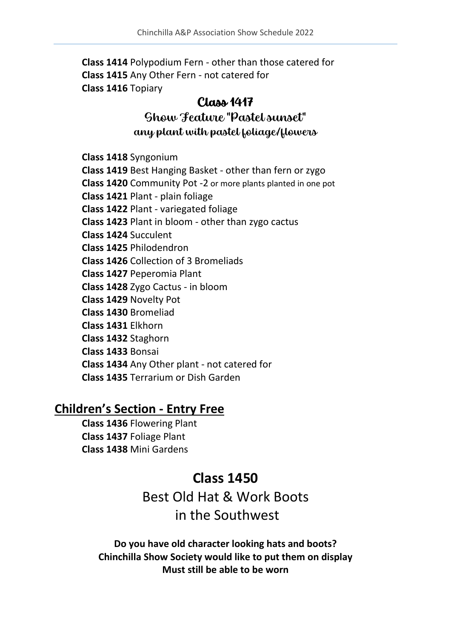**Class 1414** Polypodium Fern - other than those catered for **Class 1415** Any Other Fern - not catered for **Class 1416** Topiary

#### Class 1417

### Show Feature "Pastel sunset" any plant with pastel foliage/flowers

**Class 1418** Syngonium

**Class 1419** Best Hanging Basket - other than fern or zygo

**Class 1420** Community Pot -2 or more plants planted in one pot

**Class 1421** Plant - plain foliage

**Class 1422** Plant - variegated foliage

**Class 1423** Plant in bloom - other than zygo cactus

**Class 1424** Succulent

**Class 1425** Philodendron

**Class 1426** Collection of 3 Bromeliads

**Class 1427** Peperomia Plant

**Class 1428** Zygo Cactus - in bloom

**Class 1429** Novelty Pot

**Class 1430** Bromeliad

**Class 1431** Elkhorn

**Class 1432** Staghorn

**Class 1433** Bonsai

**Class 1434** Any Other plant - not catered for

**Class 1435** Terrarium or Dish Garden

#### **Children's Section - Entry Free**

**Class 1436** Flowering Plant **Class 1437** Foliage Plant **Class 1438** Mini Gardens

## **Class 1450**

Best Old Hat & Work Boots in the Southwest

**Do you have old character looking hats and boots? Chinchilla Show Society would like to put them on display Must still be able to be worn**